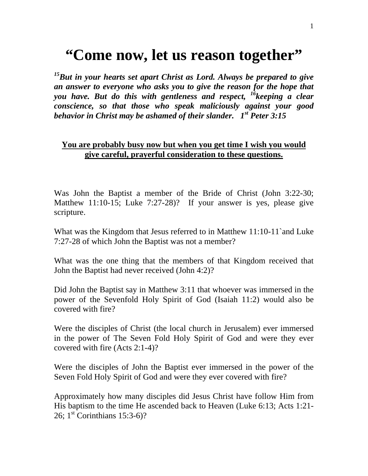## **"Come now, let us reason together"**

*15But in your hearts set apart Christ as Lord. Always be prepared to give an answer to everyone who asks you to give the reason for the hope that you have. But do this with gentleness and respect, 16keeping a clear conscience, so that those who speak maliciously against your good behavior in Christ may be ashamed of their slander. 1st Peter 3:15* 

## **You are probably busy now but when you get time I wish you would give careful, prayerful consideration to these questions.**

Was John the Baptist a member of the Bride of Christ (John 3:22-30; Matthew 11:10-15; Luke 7:27-28)? If your answer is yes, please give scripture.

What was the Kingdom that Jesus referred to in Matthew 11:10-11`and Luke 7:27-28 of which John the Baptist was not a member?

What was the one thing that the members of that Kingdom received that John the Baptist had never received (John 4:2)?

Did John the Baptist say in Matthew 3:11 that whoever was immersed in the power of the Sevenfold Holy Spirit of God (Isaiah 11:2) would also be covered with fire?

Were the disciples of Christ (the local church in Jerusalem) ever immersed in the power of The Seven Fold Holy Spirit of God and were they ever covered with fire (Acts 2:1-4)?

Were the disciples of John the Baptist ever immersed in the power of the Seven Fold Holy Spirit of God and were they ever covered with fire?

Approximately how many disciples did Jesus Christ have follow Him from His baptism to the time He ascended back to Heaven (Luke 6:13; Acts 1:21- 26;  $1^{\text{st}}$  Corinthians 15:3-6)?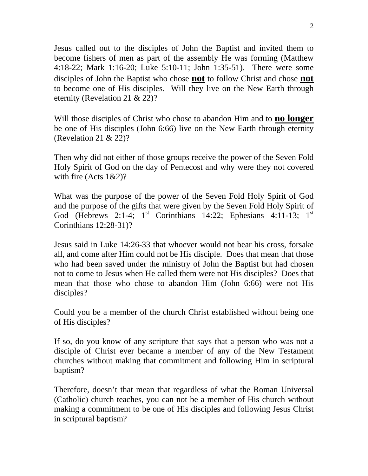Jesus called out to the disciples of John the Baptist and invited them to become fishers of men as part of the assembly He was forming (Matthew 4:18-22; Mark 1:16-20; Luke 5:10-11; John 1:35-51). There were some disciples of John the Baptist who chose **not** to follow Christ and chose **not** to become one of His disciples. Will they live on the New Earth through eternity (Revelation 21 & 22)?

Will those disciples of Christ who chose to abandon Him and to **no longer** be one of His disciples (John 6:66) live on the New Earth through eternity (Revelation 21 & 22)?

Then why did not either of those groups receive the power of the Seven Fold Holy Spirit of God on the day of Pentecost and why were they not covered with fire (Acts  $1&2$ )?

What was the purpose of the power of the Seven Fold Holy Spirit of God and the purpose of the gifts that were given by the Seven Fold Holy Spirit of God (Hebrews 2:1-4;  $1<sup>st</sup>$  Corinthians 14:22; Ephesians 4:11-13;  $1<sup>st</sup>$ Corinthians 12:28-31)?

Jesus said in Luke 14:26-33 that whoever would not bear his cross, forsake all, and come after Him could not be His disciple. Does that mean that those who had been saved under the ministry of John the Baptist but had chosen not to come to Jesus when He called them were not His disciples? Does that mean that those who chose to abandon Him (John 6:66) were not His disciples?

Could you be a member of the church Christ established without being one of His disciples?

If so, do you know of any scripture that says that a person who was not a disciple of Christ ever became a member of any of the New Testament churches without making that commitment and following Him in scriptural baptism?

Therefore, doesn't that mean that regardless of what the Roman Universal (Catholic) church teaches, you can not be a member of His church without making a commitment to be one of His disciples and following Jesus Christ in scriptural baptism?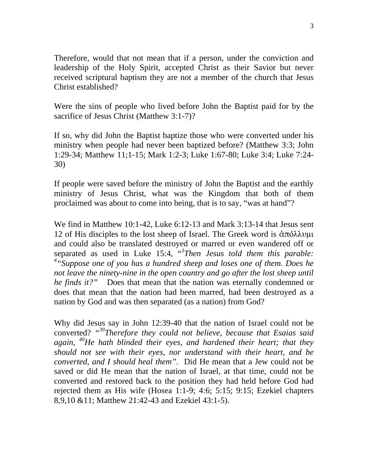Therefore, would that not mean that if a person, under the conviction and leadership of the Holy Spirit, accepted Christ as their Savior but never received scriptural baptism they are not a member of the church that Jesus Christ established?

Were the sins of people who lived before John the Baptist paid for by the sacrifice of Jesus Christ (Matthew 3:1-7)?

If so, why did John the Baptist baptize those who were converted under his ministry when people had never been baptized before? (Matthew 3:3; John 1:29-34; Matthew 11;1-15; Mark 1:2-3; Luke 1:67-80; Luke 3:4; Luke 7:24- 30)

If people were saved before the ministry of John the Baptist and the earthly ministry of Jesus Christ, what was the Kingdom that both of them proclaimed was about to come into being, that is to say, "was at hand"?

We find in Matthew 10:1-42, Luke 6:12-13 and Mark 3:13-14 that Jesus sent 12 of His disciples to the lost sheep of Israel. The Greek word is  $\alpha\pi\delta\lambda\lambda$ υμε and could also be translated destroyed or marred or even wandered off or separated as used in Luke 15:4, "*<sup>3</sup> Then Jesus told them this parable:*  <sup>4</sup> Suppose one of you has a hundred sheep and loses one of them. Does he *not leave the ninety-nine in the open country and go after the lost sheep until he finds it?"* Does that mean that the nation was eternally condemned or does that mean that the nation had been marred, had been destroyed as a nation by God and was then separated (as a nation) from God?

Why did Jesus say in John 12:39-40 that the nation of Israel could not be converted? *"39Therefore they could not believe, because that Esaias said again, 40He hath blinded their eyes, and hardened their heart; that they should not see with their eyes, nor understand with their heart, and be converted, and I should heal them".* Did He mean that a Jew could not be saved or did He mean that the nation of Israel, at that time, could not be converted and restored back to the position they had held before God had rejected them as His wife (Hosea 1:1-9; 4:6; 5:15; 9:15; Ezekiel chapters 8,9,10 &11; Matthew 21:42-43 and Ezekiel 43:1-5).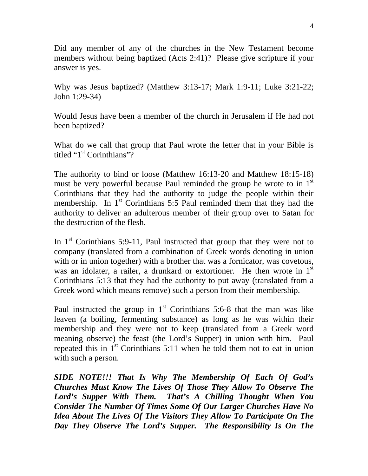Did any member of any of the churches in the New Testament become members without being baptized (Acts 2:41)? Please give scripture if your answer is yes.

Why was Jesus baptized? (Matthew 3:13-17; Mark 1:9-11; Luke 3:21-22; John 1:29-34)

Would Jesus have been a member of the church in Jerusalem if He had not been baptized?

What do we call that group that Paul wrote the letter that in your Bible is titled " $1<sup>st</sup>$  Corinthians"?

The authority to bind or loose (Matthew 16:13-20 and Matthew 18:15-18) must be very powerful because Paul reminded the group he wrote to in 1<sup>st</sup> Corinthians that they had the authority to judge the people within their membership. In  $1<sup>st</sup>$  Corinthians 5:5 Paul reminded them that they had the authority to deliver an adulterous member of their group over to Satan for the destruction of the flesh.

In  $1<sup>st</sup>$  Corinthians 5:9-11, Paul instructed that group that they were not to company (translated from a combination of Greek words denoting in union with or in union together) with a brother that was a fornicator, was covetous, was an idolater, a railer, a drunkard or extortioner. He then wrote in  $1<sup>st</sup>$ Corinthians 5:13 that they had the authority to put away (translated from a Greek word which means remove) such a person from their membership.

Paul instructed the group in  $1<sup>st</sup>$  Corinthians 5:6-8 that the man was like leaven (a boiling, fermenting substance) as long as he was within their membership and they were not to keep (translated from a Greek word meaning observe) the feast (the Lord's Supper) in union with him. Paul repeated this in  $1<sup>st</sup>$  Corinthians 5:11 when he told them not to eat in union with such a person.

*SIDE NOTE!!! That Is Why The Membership Of Each Of God's Churches Must Know The Lives Of Those They Allow To Observe The Lord's Supper With Them. That's A Chilling Thought When You Consider The Number Of Times Some Of Our Larger Churches Have No Idea About The Lives Of The Visitors They Allow To Participate On The Day They Observe The Lord's Supper. The Responsibility Is On The*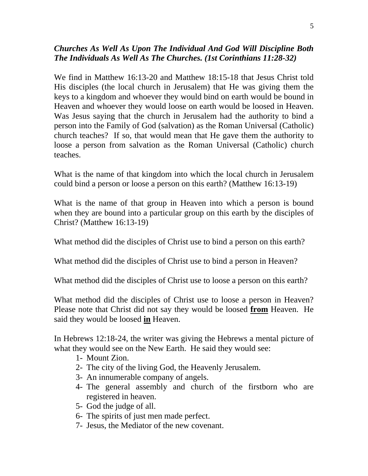## *Churches As Well As Upon The Individual And God Will Discipline Both The Individuals As Well As The Churches. (1st Corinthians 11:28-32)*

We find in Matthew 16:13-20 and Matthew 18:15-18 that Jesus Christ told His disciples (the local church in Jerusalem) that He was giving them the keys to a kingdom and whoever they would bind on earth would be bound in Heaven and whoever they would loose on earth would be loosed in Heaven. Was Jesus saying that the church in Jerusalem had the authority to bind a person into the Family of God (salvation) as the Roman Universal (Catholic) church teaches? If so, that would mean that He gave them the authority to loose a person from salvation as the Roman Universal (Catholic) church teaches.

What is the name of that kingdom into which the local church in Jerusalem could bind a person or loose a person on this earth? (Matthew 16:13-19)

What is the name of that group in Heaven into which a person is bound when they are bound into a particular group on this earth by the disciples of Christ? (Matthew 16:13-19)

What method did the disciples of Christ use to bind a person on this earth?

What method did the disciples of Christ use to bind a person in Heaven?

What method did the disciples of Christ use to loose a person on this earth?

What method did the disciples of Christ use to loose a person in Heaven? Please note that Christ did not say they would be loosed **from** Heaven. He said they would be loosed **in** Heaven.

In Hebrews 12:18-24, the writer was giving the Hebrews a mental picture of what they would see on the New Earth. He said they would see:

- 1- Mount Zion.
- 2- The city of the living God, the Heavenly Jerusalem.
- 3- An innumerable company of angels.
- 4- The general assembly and church of the firstborn who are registered in heaven.
- 5- God the judge of all.
- 6- The spirits of just men made perfect.
- 7- Jesus, the Mediator of the new covenant.